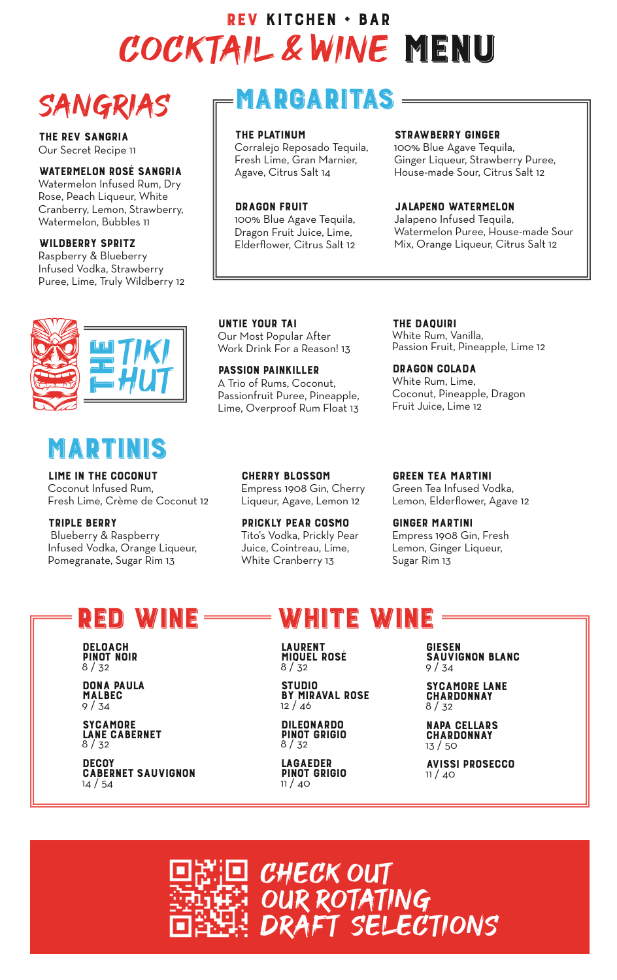## COCKTAIL & WINE MENU REV KITCHEN + BAR

# SANGRIAS

THE REV SANGRIA Our Secret Recipe 11

#### WATERMELON ROSÉ SANGRIA

Watermelon Infused Rum, Dry Rose, Peach Liqueur, White Cranberry, Lemon, Strawberry, Watermelon, Bubbles 11

#### WILDBERRY SPRITZ

Raspberry & Blueberry Infused Vodka, Strawberry Puree, Lime, Truly Wildberry 12



### MARTINIS

LIME IN THE COCONUT Coconut Infused Rum, Fresh Lime, Crème de Coconut 12

TRIPLE BERRY Blueberry & Raspberry Infused Vodka, Orange Liqueur, Pomegranate, Sugar Rim 13

## MARGARITAS

#### THE PLATINUM

Corralejo Reposado Tequila, Fresh Lime, Gran Marnier, Agave, Citrus Salt 14

#### DRAGON FRUIT

100% Blue Agave Tequila, Dragon Fruit Juice, Lime, Elderflower, Citrus Salt 12

#### STRAWBERRY GINGER

100% Blue Agave Tequila, Ginger Liqueur, Strawberry Puree, House-made Sour, Citrus Salt 12

#### JALAPENO WATERMELON

Jalapeno Infused Tequila, Watermelon Puree, House-made Sour Mix, Orange Liqueur, Citrus Salt 12

UNTIE YOUR TAI Our Most Popular After Work Drink For a Reason! 13

PASSION PAINKILLER A Trio of Rums, Coconut, Passionfruit Puree, Pineapple, Lime, Overproof Rum Float 13

THE DAQUIRI White Rum, Vanilla, Passion Fruit, Pineapple, Lime 12

DRAGON COLADA White Rum, Lime, Coconut, Pineapple, Dragon Fruit Juice, Lime 12

CHERRY BLOSSOM Empress 1908 Gin, Cherry Liqueur, Agave, Lemon 12

PRICKLY PEAR COSMO Tito's Vodka, Prickly Pear Juice, Cointreau, Lime, White Cranberry 13

GREEN TEA MARTINI Green Tea Infused Vodka, Lemon, Elderflower, Agave 12

GINGER MARTINI Empress 1908 Gin, Fresh Lemon, Ginger Liqueur, Sugar Rim 13

### RED WINE WHITE WINE

DELOACH PINOT NOIR 8 / 32

DONA PAULA MALBEC 9 / 34

**SYCAMORE** LANE CABERNET  $8 / 32$ 

**DECOY CABERNET SAUVIGNON** 14 / 54

LAURENT<br>MIQUEL ROSÉ  $8 / 32$ 

STUDIO BY MIRAVAL ROSE 12 / 46

DILEONARDO PINOT GRIGIO 8 / 32

LAGAEDER PINOT GRIGIO 11 / 40

GIESEN SAUVIGNON BLANC  $9/34$ 

SYCAMORE LANE **CHARDONNAY** 8 / 32

l. NAPA CELLARS **CHARDONNAY** 13 / 50

AVISSI PROSECCO 11 / 40